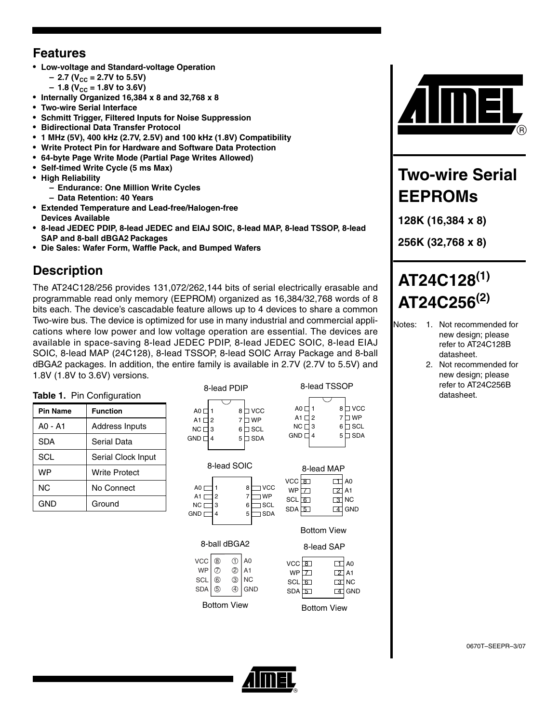### **Features**

- **Low-voltage and Standard-voltage Operation** 
	- $-$  2.7 (V<sub>CC</sub> = 2.7V to 5.5V)
	- $-1.8$  (V<sub>CC</sub> = 1.8V to 3.6V)
- **Internally Organized 16,384 x 8 and 32,768 x 8**
- **Two-wire Serial Interface**
- **Schmitt Trigger, Filtered Inputs for Noise Suppression**
- **Bidirectional Data Transfer Protocol**
- **1 MHz (5V), 400 kHz (2.7V, 2.5V) and 100 kHz (1.8V) Compatibility**
- **Write Protect Pin for Hardware and Software Data Protection**
- **64-byte Page Write Mode (Partial Page Writes Allowed)**
- **Self-timed Write Cycle (5 ms Max)**
- **High Reliability** 
	- **Endurance: One Million Write Cycles**
	- **Data Retention: 40 Years**
- **Extended Temperature and Lead-free/Halogen-free Devices Available**
- **8-lead JEDEC PDIP, 8-lead JEDEC and EIAJ SOIC, 8-lead MAP, 8-lead TSSOP, 8-lead SAP and 8-ball dBGA2 Packages**
- **Die Sales: Wafer Form, Waffle Pack, and Bumped Wafers**

## **Description**

The AT24C128/256 provides 131,072/262,144 bits of serial electrically erasable and programmable read only memory (EEPROM) organized as 16,384/32,768 words of 8 bits each. The device's cascadable feature allows up to 4 devices to share a common Two-wire bus. The device is optimized for use in many industrial and commercial applications where low power and low voltage operation are essential. The devices are available in space-saving 8-lead JEDEC PDIP, 8-lead JEDEC SOIC, 8-lead EIAJ SOIC, 8-lead MAP (24C128), 8-lead TSSOP, 8-lead SOIC Array Package and 8-ball dBGA2 packages. In addition, the entire family is available in 2.7V (2.7V to 5.5V) and 1.8V (1.8V to 3.6V) versions.

8-lead PDIP

### **Table 1.** Pin Configuration **Pin Name Function** A0 - A1 Address Inputs SDA Serial Data SCL Serial Clock Input

| WP  | <b>Write Protect</b> |
|-----|----------------------|
| NC. | No Connect           |
| GND | Ground               |

| A0 [<br>A1 [<br>2                                     | 8<br>7                     | <b>VCC</b><br><b>WP</b>                                          | A0<br>A1 [<br>2<br>NC I<br>3                                      | 8<br>7<br>6                                                                           |
|-------------------------------------------------------|----------------------------|------------------------------------------------------------------|-------------------------------------------------------------------|---------------------------------------------------------------------------------------|
| NC [<br>3<br>GND [<br>4                               | 6<br>5                     | <b>SCL</b><br><b>SDA</b>                                         | <b>GND</b><br>4                                                   | 5                                                                                     |
| A <sub>0</sub><br>A1 $\Gamma$<br>NC [<br><b>GND [</b> | 8-lead SOIC<br>2<br>3<br>4 | <b>VCC</b><br>8<br>7<br><b>WP</b><br>SCL<br>6<br><b>SDA</b><br>5 | <b>VCC</b><br>। 8<br><b>WP</b><br>$\tau$<br>SCL<br>6<br>$SDA$ $5$ | 8-lead MAP<br>$\mathbf{1}$<br>ı<br>$\overline{2}$<br>$\lceil 3 \rceil$<br>I<br>4<br>( |
|                                                       |                            |                                                                  |                                                                   | <b>Bottom View</b>                                                                    |

| 8-ball dBGA2                                               |  |                                                                                               |  |  |
|------------------------------------------------------------|--|-----------------------------------------------------------------------------------------------|--|--|
| $\text{vcc}$ <sup><sup><sup><sup>3</sup></sup></sup></sup> |  | $\begin{array}{c} \begin{array}{c} \begin{array}{c} \hline \end{array} \\ \hline \end{array}$ |  |  |
|                                                            |  |                                                                                               |  |  |
|                                                            |  |                                                                                               |  |  |

| V V I                | $\cdots$ | ◡ | $\sim$ |
|----------------------|----------|---|--------|
| $SCL$ $\odot$        |          |   | 3 NC   |
| $SDA  $ $\circled{}$ |          |   | 4 GND  |
|                      |          |   |        |

|                           | ᅁ                | ⊵∣⊿⊥ |                       | WP <sub>[Z]</sub>  |
|---------------------------|------------------|------|-----------------------|--------------------|
|                           |                  |      | $\overline{\circ}$ NC | $SCL$ $6$          |
|                           | CL   ⑥<br>DA   ⑤ |      | 4 GND                 | $SDA \overline{5}$ |
| <b>Bottom View</b><br>DA: |                  |      |                       |                    |

VCC <u>3</u>

Bottom View

8-lead SAP

8-lead TSSOP

8 VCC 7 WP 6 ⊟ SCL 5 ⊟ SDA

> $\Box$  $\Box$ 2 3 NC 4 GND

A0 A1

1 A0 2] A1 3 NC 4 GND



## **Two-wire Serial EEPROMs**

**128K (16,384 x 8)**

**256K (32,768 x 8)**

# **AT24C128(1) AT24C256(2)**

- Notes: 1. Not recommended for new design; please refer to AT24C128B datasheet.
	- 2. Not recommended for new design; please refer to AT24C256B datasheet.



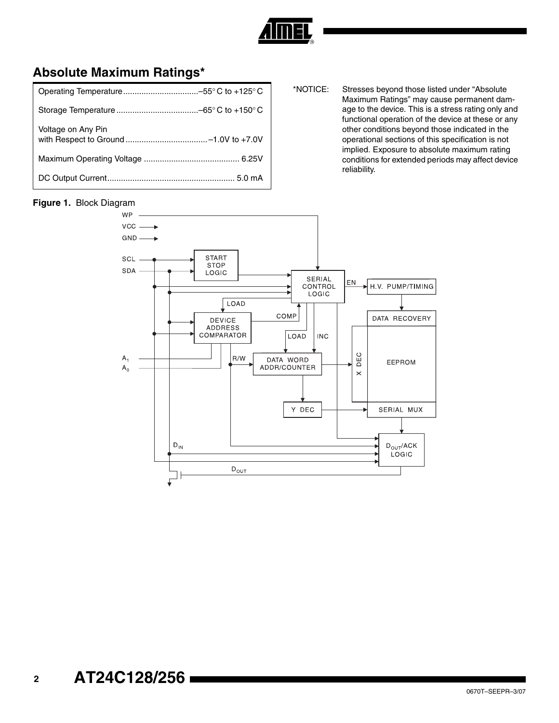

### **Absolute Maximum Ratings\***

| Voltage on Any Pin |
|--------------------|
|                    |
|                    |

#### \*NOTICE: Stresses beyond those listed under "Absolute Maximum Ratings" may cause permanent damage to the device. This is a stress rating only and functional operation of the device at these or any other conditions beyond those indicated in the operational sections of this specification is not implied. Exposure to absolute maximum rating conditions for extended periods may affect device reliability.

### **Figure 1.** Block Diagram

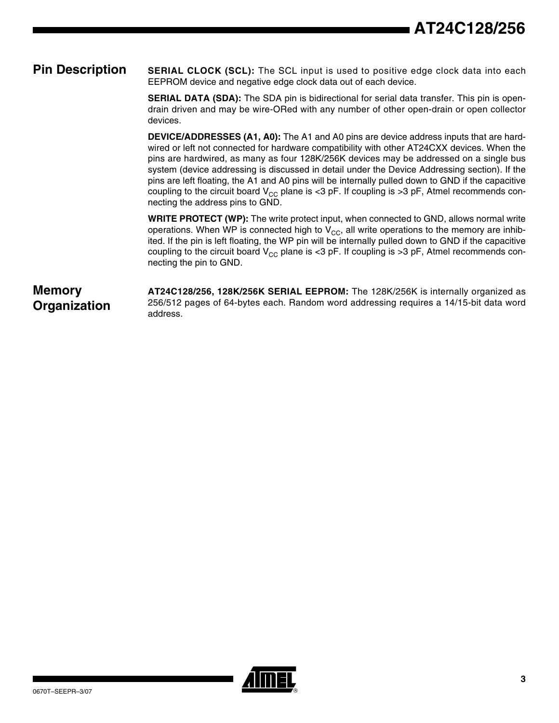### **Pin Description** SERIAL CLOCK (SCL): The SCL input is used to positive edge clock data into each EEPROM device and negative edge clock data out of each device.

**SERIAL DATA (SDA):** The SDA pin is bidirectional for serial data transfer. This pin is opendrain driven and may be wire-ORed with any number of other open-drain or open collector devices.

**DEVICE/ADDRESSES (A1, A0):** The A1 and A0 pins are device address inputs that are hardwired or left not connected for hardware compatibility with other AT24CXX devices. When the pins are hardwired, as many as four 128K/256K devices may be addressed on a single bus system (device addressing is discussed in detail under the Device Addressing section). If the pins are left floating, the A1 and A0 pins will be internally pulled down to GND if the capacitive coupling to the circuit board  $V_{CC}$  plane is <3 pF. If coupling is >3 pF, Atmel recommends connecting the address pins to GND.

**WRITE PROTECT (WP):** The write protect input, when connected to GND, allows normal write operations. When WP is connected high to  $V_{CC}$ , all write operations to the memory are inhibited. If the pin is left floating, the WP pin will be internally pulled down to GND if the capacitive coupling to the circuit board  $V_{CC}$  plane is <3 pF. If coupling is >3 pF, Atmel recommends connecting the pin to GND.

**Memory Organization**

**AT24C128/256, 128K/256K SERIAL EEPROM:** The 128K/256K is internally organized as 256/512 pages of 64-bytes each. Random word addressing requires a 14/15-bit data word address.

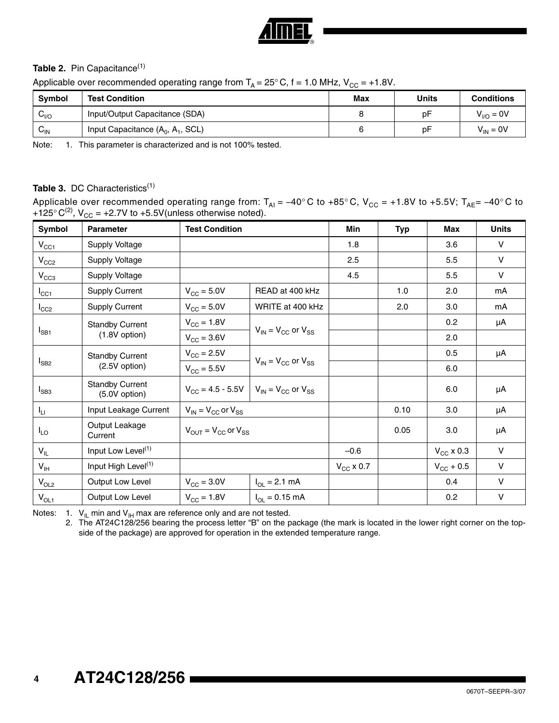

### Table 2. Pin Capacitance<sup>[\(1\)](#page-3-1)</sup>

Applicable over recommended operating range from  $T_A = 25^\circ$  C, f = 1.0 MHz,  $V_{CC} = +1.8V$ .

| Symbol                     | <b>Test Condition</b>               | Max | Units | <b>Conditions</b> |
|----------------------------|-------------------------------------|-----|-------|-------------------|
| $v_{\text{NO}}$            | Input/Output Capacitance (SDA)      |     | рF    | $V_{VQ} = 0V$     |
| $\mathsf{v}_{\mathsf{IN}}$ | Input Capacitance $(A_0, A_1, SCL)$ | ี   | рF    | $V_{IN} = 0V$     |

<span id="page-3-1"></span>Note: 1. This parameter is characterized and is not 100% tested.

### Table 3. DC Characteristics<sup>(1)</sup>

Applicable over recommended operating range from: T<sub>AI</sub> = –40° C to +85° C, V<sub>CC</sub> = +1.8V to +5.5V; T<sub>AE</sub>= –40° C to +125° C<sup>(2)</sup>,  $V_{CC}$  = +2.7V to +5.5V(unless otherwise noted).

| Symbol          | <b>Parameter</b>                        | <b>Test Condition</b>           |                                                                                 | Min            | <b>Typ</b> | Max                | <b>Units</b> |
|-----------------|-----------------------------------------|---------------------------------|---------------------------------------------------------------------------------|----------------|------------|--------------------|--------------|
| $V_{CC1}$       | Supply Voltage                          |                                 |                                                                                 | 1.8            |            | 3.6                | $\vee$       |
| $V_{CC2}$       | Supply Voltage                          |                                 |                                                                                 | 2.5            |            | 5.5                | $\vee$       |
| $V_{CC3}$       | Supply Voltage                          |                                 |                                                                                 | 4.5            |            | 5.5                | $\vee$       |
| $I_{\rm CC1}$   | <b>Supply Current</b>                   | $V_{\text{CC}} = 5.0V$          | READ at 400 kHz                                                                 |                | 1.0        | 2.0                | mA           |
| $I_{CC2}$       | <b>Supply Current</b>                   | $V_{\text{CC}} = 5.0V$          | WRITE at 400 kHz                                                                |                | 2.0        | 3.0                | mA           |
|                 | <b>Standby Current</b>                  | $V_{\rm CC} = 1.8V$             |                                                                                 |                |            | 0.2                | μA           |
| $I_{SB1}$       | $(1.8V$ option)                         | $V_{\text{CC}} = 3.6V$          | $V_{IN}$ = $V_{CC}$ or $V_{SS}$                                                 |                |            | 2.0                |              |
|                 | <b>Standby Current</b>                  | $V_{\text{CC}} = 2.5V$          |                                                                                 |                |            | 0.5                | μA           |
| $I_{SB2}$       | (2.5V option)                           | $V_{CC} = 5.5V$                 | $V_{IN}$ = $V_{CC}$ or $V_{SS}$                                                 |                |            | 6.0                |              |
| $I_{SB3}$       | <b>Standby Current</b><br>(5.0V option) |                                 | $V_{\text{CC}} = 4.5 - 5.5V$ $V_{\text{IN}} = V_{\text{CC}}$ or $V_{\text{SS}}$ |                |            | 6.0                | μA           |
| Iц              | Input Leakage Current                   | $V_{IN}$ = $V_{CC}$ or $V_{SS}$ |                                                                                 |                | 0.10       | 3.0                | μA           |
| $I_{LO}$        | Output Leakage<br>Current               |                                 | $V_{\text{OUT}} = V_{\text{CC}}$ or $V_{\text{SS}}$                             |                | 0.05       | 3.0                | μA           |
| $V_{IL}$        | Input Low Level <sup>(1)</sup>          |                                 |                                                                                 | $-0.6$         |            | $V_{\rm CC}$ x 0.3 | $\vee$       |
| $V_{\text{IH}}$ | Input High Level <sup>(1)</sup>         |                                 |                                                                                 | $V_{CC}$ x 0.7 |            | $V_{CG}$ + 0.5     | $\vee$       |
| $V_{OL2}$       | Output Low Level                        | $V_{\text{CC}}$ = 3.0V          | $I_{OL} = 2.1$ mA                                                               |                |            | 0.4                | $\vee$       |
| $V_{OL1}$       | Output Low Level                        | $V_{\rm CC} = 1.8V$             | $I_{OL} = 0.15$ mA                                                              |                |            | 0.2                | $\vee$       |

<span id="page-3-2"></span><span id="page-3-0"></span>Notes: 1.  $V_{\parallel}$  min and  $V_{\parallel}$  max are reference only and are not tested.

2. The AT24C128/256 bearing the process letter "B" on the package (the mark is located in the lower right corner on the topside of the package) are approved for operation in the extended temperature range.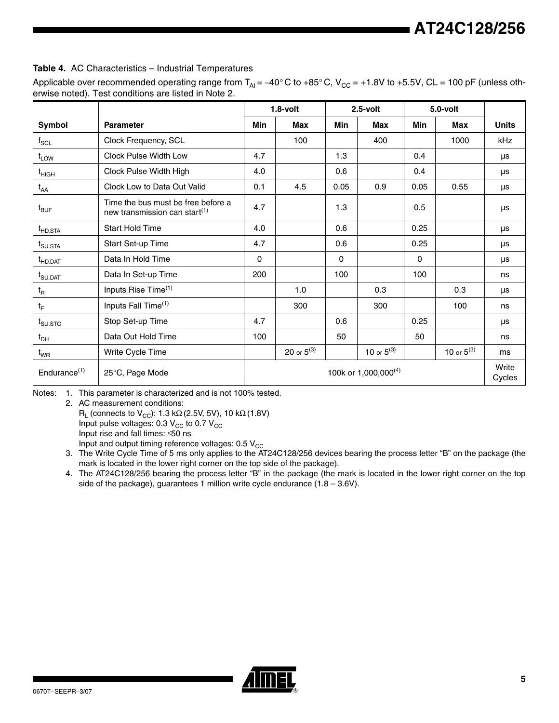### **Table 4.** AC Characteristics – Industrial Temperatures

Applicable over recommended operating range from  $T_{Al} = -40^\circ$  C to +85° C, V<sub>CC</sub> = +1.8V to +5.5V, CL = 100 pF (unless otherwise noted). Test conditions are listed in Note 2.

|                                                                                    |                                                                                 |     | $1.8$ -volt     |             | $2.5$ -volt                      |      | 5.0-volt        |                 |
|------------------------------------------------------------------------------------|---------------------------------------------------------------------------------|-----|-----------------|-------------|----------------------------------|------|-----------------|-----------------|
| Symbol                                                                             | <b>Parameter</b>                                                                | Min | <b>Max</b>      | Min         | <b>Max</b>                       | Min  | <b>Max</b>      | <b>Units</b>    |
| $\mathsf{f}_{\mathsf{SCL}}$                                                        | Clock Frequency, SCL                                                            |     | 100             |             | 400                              |      | 1000            | kHz             |
| $t_{LOW}$                                                                          | Clock Pulse Width Low                                                           | 4.7 |                 | 1.3         |                                  | 0.4  |                 | μs              |
| $\mathfrak{t}_{\mathsf{HIGH}}$                                                     | Clock Pulse Width High                                                          | 4.0 |                 | 0.6         |                                  | 0.4  |                 | μs              |
| $t_{AA}$                                                                           | Clock Low to Data Out Valid                                                     | 0.1 | 4.5             | 0.05        | 0.9                              | 0.05 | 0.55            | μs              |
| $t_{\text{BUF}}$                                                                   | Time the bus must be free before a<br>new transmission can start <sup>(1)</sup> | 4.7 |                 | 1.3         |                                  | 0.5  |                 | μs              |
| t <sub>HD.STA</sub>                                                                | <b>Start Hold Time</b>                                                          | 4.0 |                 | 0.6         |                                  | 0.25 |                 | μs              |
| $t_{\text{SU,STA}}$                                                                | Start Set-up Time                                                               | 4.7 |                 | 0.6         |                                  | 0.25 |                 | μs              |
| t <sub>HD.DAT</sub>                                                                | Data In Hold Time                                                               | 0   |                 | $\mathbf 0$ |                                  | 0    |                 | μs              |
| $\mathfrak{t}_{\textsf{S} \textsf{U} \textsf{.} \textsf{D} \textsf{A} \textsf{T}}$ | Data In Set-up Time                                                             | 200 |                 | 100         |                                  | 100  |                 | ns              |
| $t_{\mathsf{R}}$                                                                   | Inputs Rise Time <sup>(1)</sup>                                                 |     | 1.0             |             | 0.3                              |      | 0.3             | μs              |
| $t_{\rm F}$                                                                        | Inputs Fall Time <sup>(1)</sup>                                                 |     | 300             |             | 300                              |      | 100             | ns              |
| $t_{\text{SU,STO}}$                                                                | Stop Set-up Time                                                                | 4.7 |                 | 0.6         |                                  | 0.25 |                 | μs              |
| $t_{DH}$                                                                           | Data Out Hold Time                                                              | 100 |                 | 50          |                                  | 50   |                 | ns              |
| $t_{WR}$                                                                           | Write Cycle Time                                                                |     | 20 or $5^{(3)}$ |             | 10 or $5^{(3)}$                  |      | 10 or $5^{(3)}$ | ms              |
| Endurance <sup>(1)</sup>                                                           | 25°C, Page Mode                                                                 |     |                 |             | 100k or 1,000,000 <sup>(4)</sup> |      |                 | Write<br>Cycles |

<span id="page-4-0"></span>Notes: 1. This parameter is characterized and is not 100% tested.

2. AC measurement conditions:

 $R<sub>L</sub>$  (connects to V<sub>CC</sub>): 1.3 kΩ (2.5V, 5V), 10 kΩ (1.8V)

Input pulse voltages:  $0.3$  V<sub>CC</sub> to 0.7 V<sub>CC</sub>

Input rise and fall times: ≤50 ns

Input and output timing reference voltages:  $0.5$   $V_{CC}$ 

- <span id="page-4-1"></span>3. The Write Cycle Time of 5 ms only applies to the AT24C128/256 devices bearing the process letter "B" on the package (the mark is located in the lower right corner on the top side of the package).
- 4. The AT24C128/256 bearing the process letter "B" in the package (the mark is located in the lower right corner on the top side of the package), guarantees 1 million write cycle endurance  $(1.8 - 3.6V)$ .

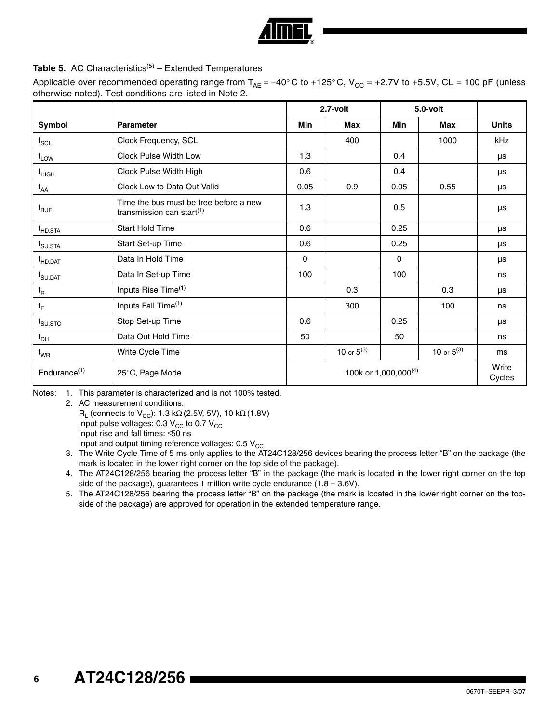### **Table 5.** AC Characteristics<sup>[\(5\)](#page-5-0)</sup> – Extended Temperatures

Applicable over recommended operating range from  $T_{AE} = -40^{\circ}$  C to +125° C, V<sub>CC</sub> = +2.7V to +5.5V, CL = 100 pF (unless otherwise noted). Test conditions are listed in Note 2.

|                                 |                                                                        |      | 2.7-volt        |                                  | $5.0$ -volt     |                 |
|---------------------------------|------------------------------------------------------------------------|------|-----------------|----------------------------------|-----------------|-----------------|
| Symbol                          | <b>Parameter</b>                                                       | Min  | Max             | Min                              | Max             | <b>Units</b>    |
| $\mathsf{f}_{\mathsf{SCL}}$     | Clock Frequency, SCL                                                   |      | 400             |                                  | 1000            | <b>kHz</b>      |
| $t_{LOW}$                       | <b>Clock Pulse Width Low</b>                                           | 1.3  |                 | 0.4                              |                 | μs              |
| $\mathfrak{t}_{\mathsf{HIGH}}$  | Clock Pulse Width High                                                 | 0.6  |                 | 0.4                              |                 | μs              |
| $t_{AA}$                        | Clock Low to Data Out Valid                                            | 0.05 | 0.9             | 0.05                             | 0.55            | μs              |
| $t_{\mathsf{BUF}}$              | Time the bus must be free before a new<br>transmission can start $(1)$ | 1.3  |                 | 0.5                              |                 | μs              |
| $t_{HD,STA}$                    | Start Hold Time                                                        | 0.6  |                 | 0.25                             |                 | μs              |
| $t_{\text{SU,STA}}$             | Start Set-up Time                                                      | 0.6  |                 | 0.25                             |                 | μs              |
| t <sub>HD.DAT</sub>             | Data In Hold Time                                                      | 0    |                 | 0                                |                 | μs              |
| $t_{\text{SU.DAT}}$             | Data In Set-up Time                                                    | 100  |                 | 100                              |                 | ns              |
| $t_{\mathsf{R}}$                | Inputs Rise Time <sup>(1)</sup>                                        |      | 0.3             |                                  | 0.3             | μs              |
| $t_F$                           | Inputs Fall Time <sup>(1)</sup>                                        |      | 300             |                                  | 100             | ns              |
| $t_{\scriptstyle\text{SU,STO}}$ | Stop Set-up Time                                                       | 0.6  |                 | 0.25                             |                 | μs              |
| $t_{DH}$                        | Data Out Hold Time                                                     | 50   |                 | 50                               |                 | ns              |
| $t_{WR}$                        | Write Cycle Time                                                       |      | 10 or $5^{(3)}$ |                                  | 10 or $5^{(3)}$ | ms              |
| Endurance $(1)$                 | 25°C, Page Mode                                                        |      |                 | 100k or 1,000,000 <sup>(4)</sup> |                 | Write<br>Cycles |

<span id="page-5-1"></span>Notes: 1. This parameter is characterized and is not 100% tested.

2. AC measurement conditions:

R<sub>L</sub> (connects to V<sub>CC</sub>): 1.3 kΩ (2.5V, 5V), 10 kΩ (1.8V)

Input pulse voltages:  $0.3 V_{\text{CC}}$  to  $0.7 V_{\text{CC}}$ 

Input rise and fall times: ≤50 ns

Input and output timing reference voltages:  $0.5 V_{CC}$ 

- <span id="page-5-2"></span>3. The Write Cycle Time of 5 ms only applies to the AT24C128/256 devices bearing the process letter "B" on the package (the mark is located in the lower right corner on the top side of the package).
- <span id="page-5-3"></span>4. The AT24C128/256 bearing the process letter "B" in the package (the mark is located in the lower right corner on the top side of the package), guarantees 1 million write cycle endurance  $(1.8 - 3.6V)$ .
- <span id="page-5-0"></span>5. The AT24C128/256 bearing the process letter "B" on the package (the mark is located in the lower right corner on the topside of the package) are approved for operation in the extended temperature range.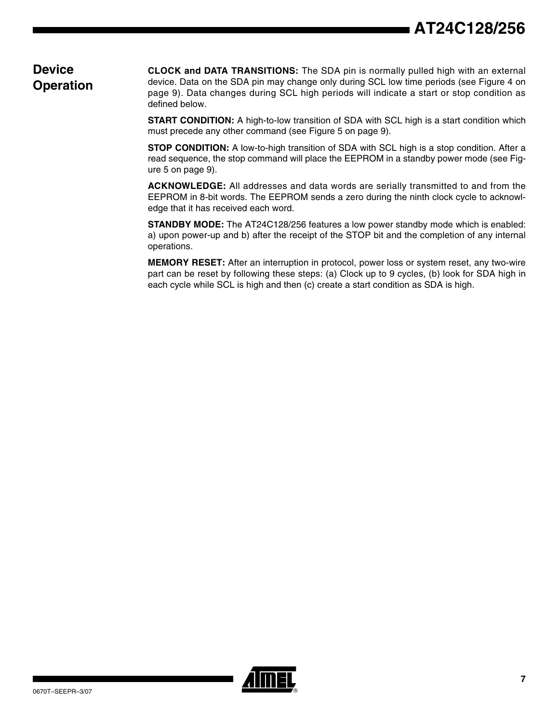### **Device Operation**

**CLOCK and DATA TRANSITIONS:** The SDA pin is normally pulled high with an external device. Data on the SDA pin may change only during SCL low time periods (see [Figure 4 on](#page-8-0) [page 9\)](#page-8-0). Data changes during SCL high periods will indicate a start or stop condition as defined below.

**START CONDITION:** A high-to-low transition of SDA with SCL high is a start condition which must precede any other command (see [Figure 5 on page 9\)](#page-8-1).

**STOP CONDITION:** A low-to-high transition of SDA with SCL high is a stop condition. After a read sequence, the stop command will place the EEPROM in a standby power mode (see [Fig](#page-8-1)[ure 5 on page 9](#page-8-1)).

**ACKNOWLEDGE:** All addresses and data words are serially transmitted to and from the EEPROM in 8-bit words. The EEPROM sends a zero during the ninth clock cycle to acknowledge that it has received each word.

**STANDBY MODE:** The AT24C128/256 features a low power standby mode which is enabled: a) upon power-up and b) after the receipt of the STOP bit and the completion of any internal operations.

**MEMORY RESET:** After an interruption in protocol, power loss or system reset, any two-wire part can be reset by following these steps: (a) Clock up to 9 cycles, (b) look for SDA high in each cycle while SCL is high and then (c) create a start condition as SDA is high.

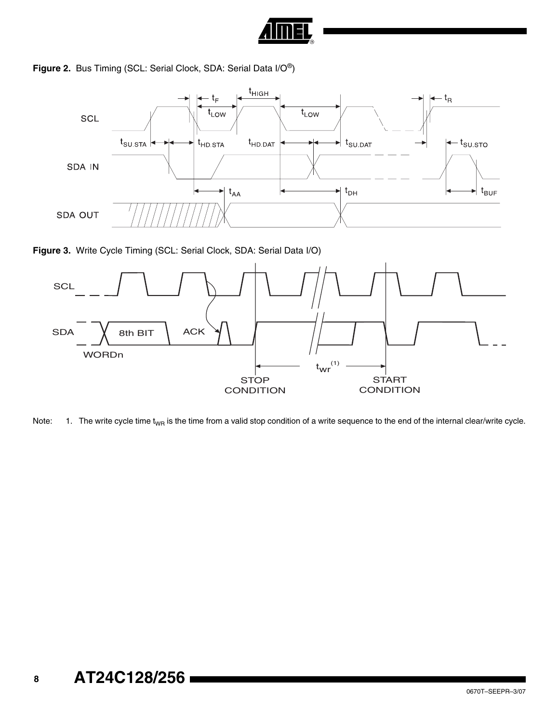

### **Figure 2.** Bus Timing (SCL: Serial Clock, SDA: Serial Data I/O®)



**Figure 3.** Write Cycle Timing (SCL: Serial Clock, SDA: Serial Data I/O)



Note:  $1.$  The write cycle time t<sub>WR</sub> is the time from a valid stop condition of a write sequence to the end of the internal clear/write cycle.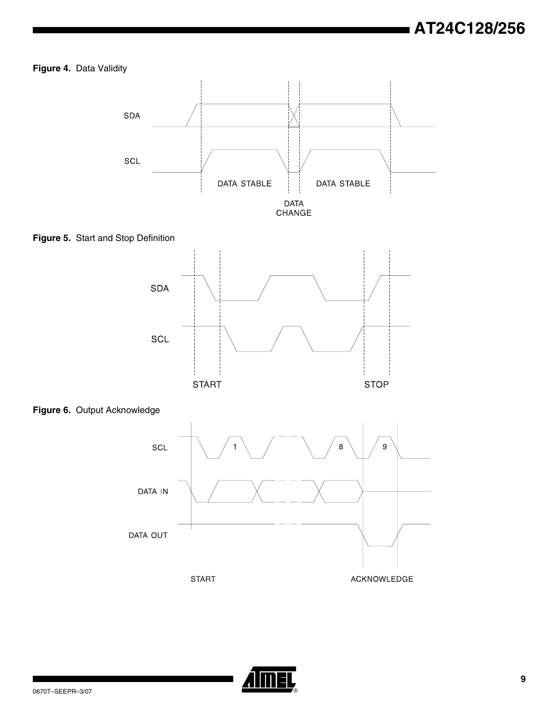### <span id="page-8-0"></span>**Figure 4.** Data Validity



<span id="page-8-1"></span>**Figure 5.** Start and Stop Definition







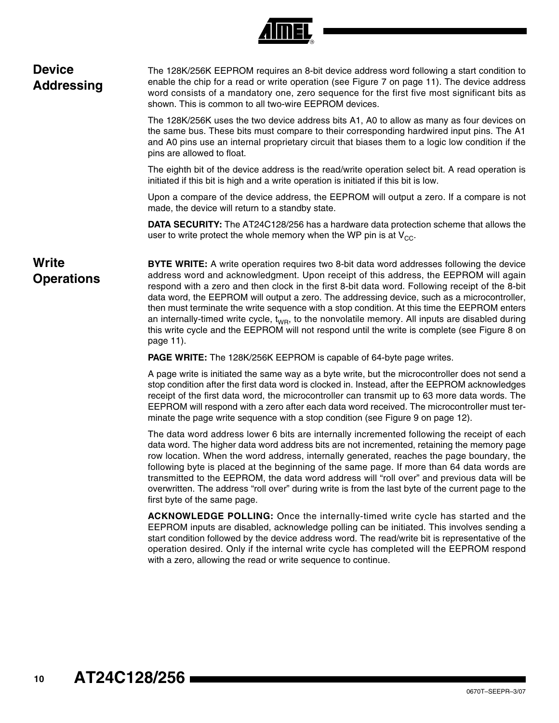| R) |
|----|

| <b>Device</b><br><b>Addressing</b> | The 128K/256K EEPROM requires an 8-bit device address word following a start condition to<br>enable the chip for a read or write operation (see Figure 7 on page 11). The device address<br>word consists of a mandatory one, zero sequence for the first five most significant bits as<br>shown. This is common to all two-wire EEPROM devices.                                                                                                                                                                                                                                                                                                                                                                  |
|------------------------------------|-------------------------------------------------------------------------------------------------------------------------------------------------------------------------------------------------------------------------------------------------------------------------------------------------------------------------------------------------------------------------------------------------------------------------------------------------------------------------------------------------------------------------------------------------------------------------------------------------------------------------------------------------------------------------------------------------------------------|
|                                    | The 128K/256K uses the two device address bits A1, A0 to allow as many as four devices on<br>the same bus. These bits must compare to their corresponding hardwired input pins. The A1<br>and A0 pins use an internal proprietary circuit that biases them to a logic low condition if the<br>pins are allowed to float.                                                                                                                                                                                                                                                                                                                                                                                          |
|                                    | The eighth bit of the device address is the read/write operation select bit. A read operation is<br>initiated if this bit is high and a write operation is initiated if this bit is low.                                                                                                                                                                                                                                                                                                                                                                                                                                                                                                                          |
|                                    | Upon a compare of the device address, the EEPROM will output a zero. If a compare is not<br>made, the device will return to a standby state.                                                                                                                                                                                                                                                                                                                                                                                                                                                                                                                                                                      |
|                                    | <b>DATA SECURITY:</b> The AT24C128/256 has a hardware data protection scheme that allows the<br>user to write protect the whole memory when the WP pin is at $V_{CC}$ .                                                                                                                                                                                                                                                                                                                                                                                                                                                                                                                                           |
| Write<br><b>Operations</b>         | <b>BYTE WRITE:</b> A write operation requires two 8-bit data word addresses following the device<br>address word and acknowledgment. Upon receipt of this address, the EEPROM will again<br>respond with a zero and then clock in the first 8-bit data word. Following receipt of the 8-bit<br>data word, the EEPROM will output a zero. The addressing device, such as a microcontroller,<br>then must terminate the write sequence with a stop condition. At this time the EEPROM enters<br>an internally-timed write cycle, $t_{WR}$ , to the nonvolatile memory. All inputs are disabled during<br>this write cycle and the EEPROM will not respond until the write is complete (see Figure 8 on<br>page 11). |
|                                    | <b>PAGE WRITE:</b> The 128K/256K EEPROM is capable of 64-byte page writes.                                                                                                                                                                                                                                                                                                                                                                                                                                                                                                                                                                                                                                        |

A page write is initiated the same way as a byte write, but the microcontroller does not send a stop condition after the first data word is clocked in. Instead, after the EEPROM acknowledges receipt of the first data word, the microcontroller can transmit up to 63 more data words. The EEPROM will respond with a zero after each data word received. The microcontroller must terminate the page write sequence with a stop condition (see [Figure 9 on page 12](#page-11-0)).

The data word address lower 6 bits are internally incremented following the receipt of each data word. The higher data word address bits are not incremented, retaining the memory page row location. When the word address, internally generated, reaches the page boundary, the following byte is placed at the beginning of the same page. If more than 64 data words are transmitted to the EEPROM, the data word address will "roll over" and previous data will be overwritten. The address "roll over" during write is from the last byte of the current page to the first byte of the same page.

**ACKNOWLEDGE POLLING:** Once the internally-timed write cycle has started and the EEPROM inputs are disabled, acknowledge polling can be initiated. This involves sending a start condition followed by the device address word. The read/write bit is representative of the operation desired. Only if the internal write cycle has completed will the EEPROM respond with a zero, allowing the read or write sequence to continue.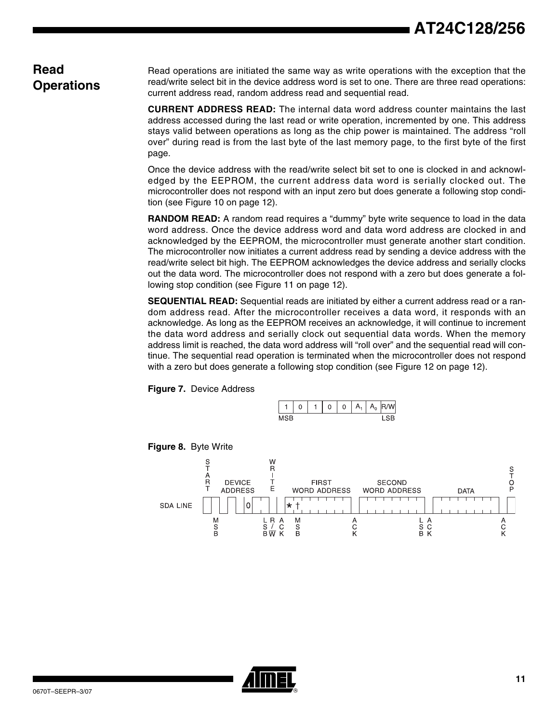### **Read Operations**

Read operations are initiated the same way as write operations with the exception that the read/write select bit in the device address word is set to one. There are three read operations: current address read, random address read and sequential read.

**CURRENT ADDRESS READ:** The internal data word address counter maintains the last address accessed during the last read or write operation, incremented by one. This address stays valid between operations as long as the chip power is maintained. The address "roll over" during read is from the last byte of the last memory page, to the first byte of the first page.

Once the device address with the read/write select bit set to one is clocked in and acknowledged by the EEPROM, the current address data word is serially clocked out. The microcontroller does not respond with an input zero but does generate a following stop condition (see [Figure 10 on page 12](#page-11-1)).

**RANDOM READ:** A random read requires a "dummy" byte write sequence to load in the data word address. Once the device address word and data word address are clocked in and acknowledged by the EEPROM, the microcontroller must generate another start condition. The microcontroller now initiates a current address read by sending a device address with the read/write select bit high. The EEPROM acknowledges the device address and serially clocks out the data word. The microcontroller does not respond with a zero but does generate a following stop condition (see [Figure 11 on page 12\)](#page-11-2).

**SEQUENTIAL READ:** Sequential reads are initiated by either a current address read or a random address read. After the microcontroller receives a data word, it responds with an acknowledge. As long as the EEPROM receives an acknowledge, it will continue to increment the data word address and serially clock out sequential data words. When the memory address limit is reached, the data word address will "roll over" and the sequential read will continue. The sequential read operation is terminated when the microcontroller does not respond with a zero but does generate a following stop condition (see [Figure 12 on page 12](#page-11-3)).

<span id="page-10-0"></span>**Figure 7.** Device Address



<span id="page-10-1"></span>

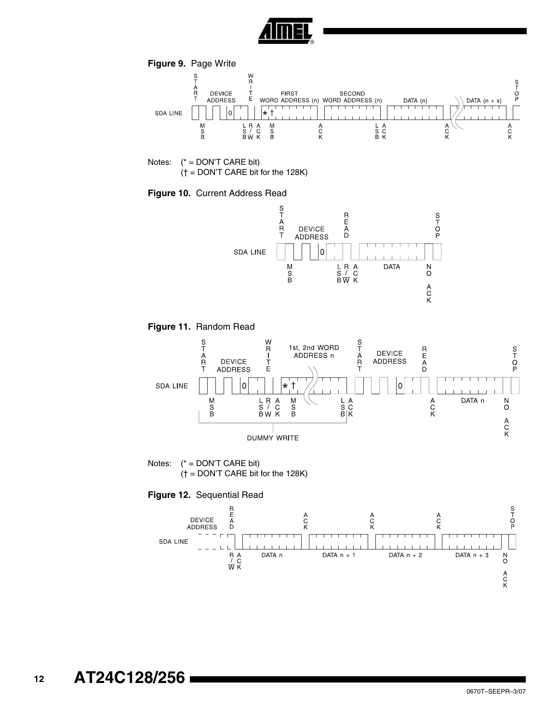

<span id="page-11-0"></span>

Notes: (\* = DON'T CARE bit) († = DON'T CARE bit for the 128K)

<span id="page-11-1"></span>**Figure 10.** Current Address Read



<span id="page-11-2"></span>**Figure 11.** Random Read



<span id="page-11-3"></span>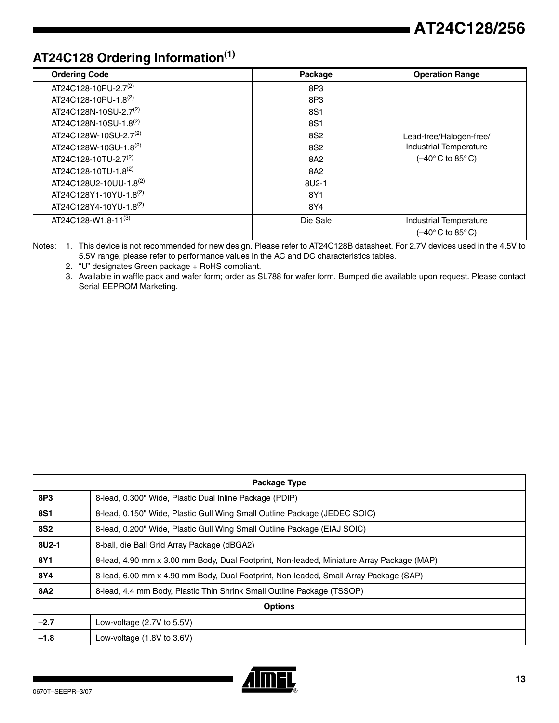## **AT24C128 Ordering Information(1)**

| <b>Ordering Code</b>              | Package         | <b>Operation Range</b>                              |
|-----------------------------------|-----------------|-----------------------------------------------------|
| AT24C128-10PU-2.7 <sup>(2)</sup>  | 8P3             |                                                     |
| AT24C128-10PU-1.8(2)              | 8P3             |                                                     |
| AT24C128N-10SU-2.7 <sup>(2)</sup> | 8S1             |                                                     |
| AT24C128N-10SU-1.8 <sup>(2)</sup> | 8S1             |                                                     |
| AT24C128W-10SU-2.7 <sup>(2)</sup> | 8S <sub>2</sub> | Lead-free/Halogen-free/                             |
| AT24C128W-10SU-1.8 <sup>(2)</sup> | 8S <sub>2</sub> | <b>Industrial Temperature</b>                       |
| AT24C128-10TU-2.7(2)              | 8A2             | $(-40^{\circ} \text{C}$ to 85°C)                    |
| AT24C128-10TU-1.8(2)              | 8A2             |                                                     |
| AT24C128U2-10UU-1.8(2)            | 8U2-1           |                                                     |
| AT24C128Y1-10YU-1.8(2)            | 8Y1             |                                                     |
| AT24C128Y4-10YU-1.8(2)            | 8Y4             |                                                     |
| AT24C128-W1.8-11(3)               | Die Sale        | Industrial Temperature                              |
|                                   |                 | $(-40^{\circ} \text{C}$ to 85 $^{\circ} \text{C}$ ) |

Notes: 1. This device is not recommended for new design. Please refer to AT24C128B datasheet. For 2.7V devices used in the 4.5V to 5.5V range, please refer to performance values in the AC and DC characteristics tables.

2. "U" designates Green package + RoHS compliant.

3. Available in waffle pack and wafer form; order as SL788 for wafer form. Bumped die available upon request. Please contact Serial EEPROM Marketing.

| <b>Package Type</b> |                                                                                           |  |
|---------------------|-------------------------------------------------------------------------------------------|--|
| 8P3                 | 8-lead, 0.300" Wide, Plastic Dual Inline Package (PDIP)                                   |  |
| <b>8S1</b>          | 8-lead, 0.150" Wide, Plastic Gull Wing Small Outline Package (JEDEC SOIC)                 |  |
| <b>8S2</b>          | 8-lead, 0.200" Wide, Plastic Gull Wing Small Outline Package (EIAJ SOIC)                  |  |
| 8U2-1               | 8-ball, die Ball Grid Array Package (dBGA2)                                               |  |
| 8Y1                 | 8-lead, 4.90 mm x 3.00 mm Body, Dual Footprint, Non-leaded, Miniature Array Package (MAP) |  |
| 8Y4                 | 8-lead, 6.00 mm x 4.90 mm Body, Dual Footprint, Non-leaded, Small Array Package (SAP)     |  |
| <b>8A2</b>          | 8-lead, 4.4 mm Body, Plastic Thin Shrink Small Outline Package (TSSOP)                    |  |
| <b>Options</b>      |                                                                                           |  |
| $-2.7$              | Low-voltage $(2.7V)$ to 5.5V)                                                             |  |
| $-1.8$              | Low-voltage $(1.8V)$ to $3.6V$ )                                                          |  |

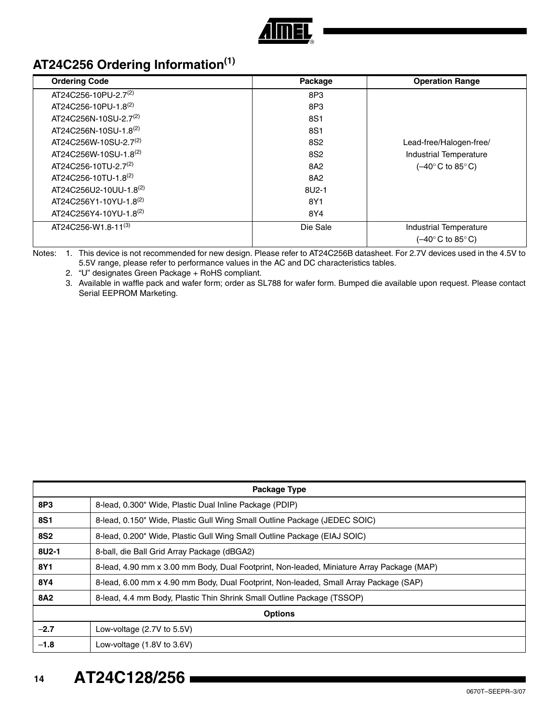

## **AT24C256 Ordering Information(1)**

| <b>Ordering Code</b>              | Package         | <b>Operation Range</b>           |
|-----------------------------------|-----------------|----------------------------------|
| AT24C256-10PU-2.7 <sup>(2)</sup>  | 8P3             |                                  |
| AT24C256-10PU-1.8(2)              | 8P3             |                                  |
| AT24C256N-10SU-2.7 <sup>(2)</sup> | 8S1             |                                  |
| AT24C256N-10SU-1.8 <sup>(2)</sup> | 8S1             |                                  |
| AT24C256W-10SU-2.7 <sup>(2)</sup> | 8S <sub>2</sub> | Lead-free/Halogen-free/          |
| AT24C256W-10SU-1.8(2)             | 8S <sub>2</sub> | <b>Industrial Temperature</b>    |
| AT24C256-10TU-2.7 <sup>(2)</sup>  | 8A2             | $(-40^{\circ} \text{C}$ to 85°C) |
| AT24C256-10TU-1.8(2)              | 8A2             |                                  |
| AT24C256U2-10UU-1.8(2)            | 8U2-1           |                                  |
| AT24C256Y1-10YU-1.8(2)            | 8Y1             |                                  |
| AT24C256Y4-10YU-1.8(2)            | 8Y4             |                                  |
| AT24C256-W1.8-11(3)               | Die Sale        | Industrial Temperature           |
|                                   |                 | (–40° C to 85° C)                |

Notes: 1. This device is not recommended for new design. Please refer to AT24C256B datasheet. For 2.7V devices used in the 4.5V to 5.5V range, please refer to performance values in the AC and DC characteristics tables.

2. "U" designates Green Package + RoHS compliant.

3. Available in waffle pack and wafer form; order as SL788 for wafer form. Bumped die available upon request. Please contact Serial EEPROM Marketing.

| <b>Package Type</b> |                                                                                           |  |
|---------------------|-------------------------------------------------------------------------------------------|--|
| 8P3                 | 8-lead, 0.300" Wide, Plastic Dual Inline Package (PDIP)                                   |  |
| <b>8S1</b>          | 8-lead, 0.150" Wide, Plastic Gull Wing Small Outline Package (JEDEC SOIC)                 |  |
| <b>8S2</b>          | 8-lead, 0.200" Wide, Plastic Gull Wing Small Outline Package (EIAJ SOIC)                  |  |
| $8U2-1$             | 8-ball, die Ball Grid Array Package (dBGA2)                                               |  |
| 8Y1                 | 8-lead, 4.90 mm x 3.00 mm Body, Dual Footprint, Non-leaded, Miniature Array Package (MAP) |  |
| 8Y4                 | 8-lead, 6.00 mm x 4.90 mm Body, Dual Footprint, Non-leaded, Small Array Package (SAP)     |  |
| <b>8A2</b>          | 8-lead, 4.4 mm Body, Plastic Thin Shrink Small Outline Package (TSSOP)                    |  |
| <b>Options</b>      |                                                                                           |  |
| $-2.7$              | Low-voltage $(2.7V)$ to 5.5V)                                                             |  |
| $-1.8$              | Low-voltage $(1.8V)$ to $3.6V$ )                                                          |  |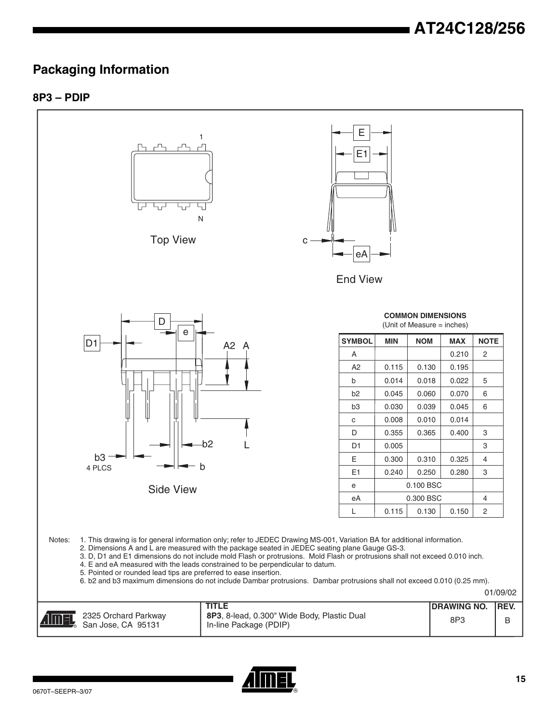## **Packaging Information**

### **8P3 – PDIP**



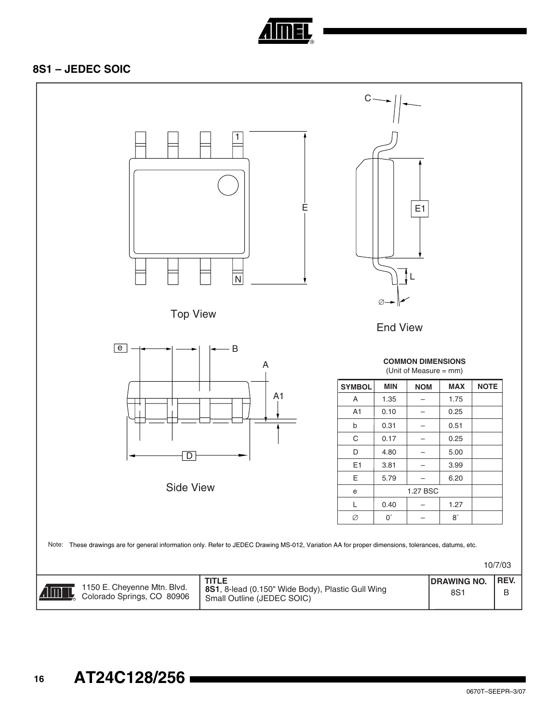

### **8S1 – JEDEC SOIC**

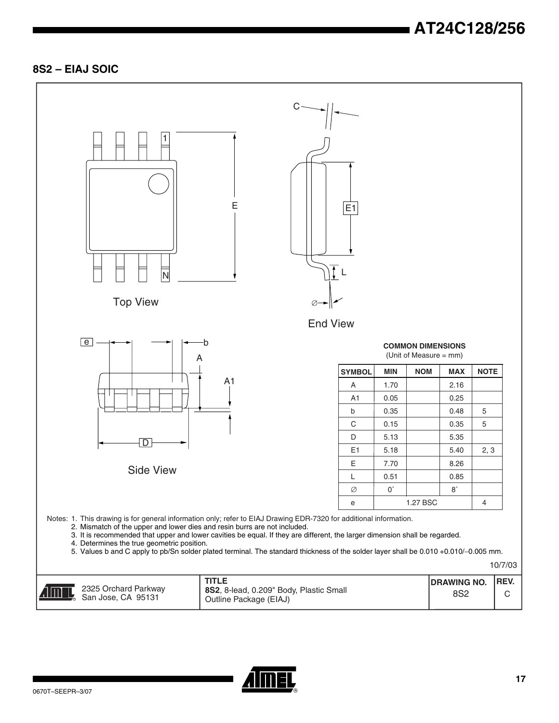## **AT24C128/256**

### **8S2 – EIAJ SOIC**



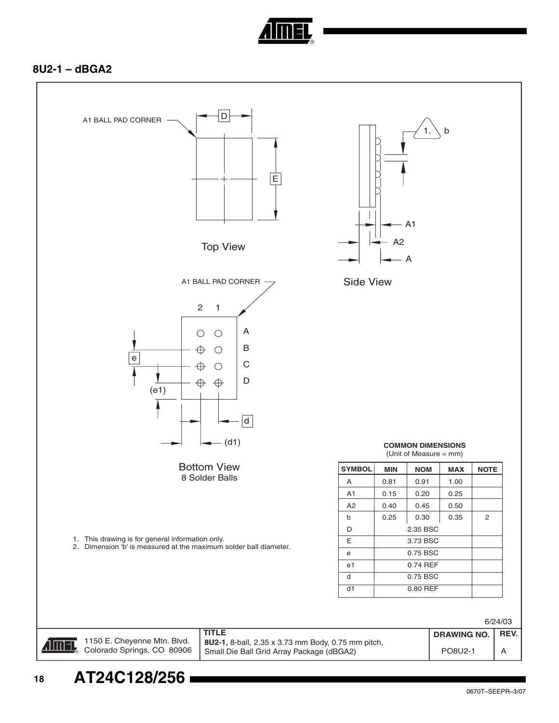

### **8U2-1 – dBGA2**

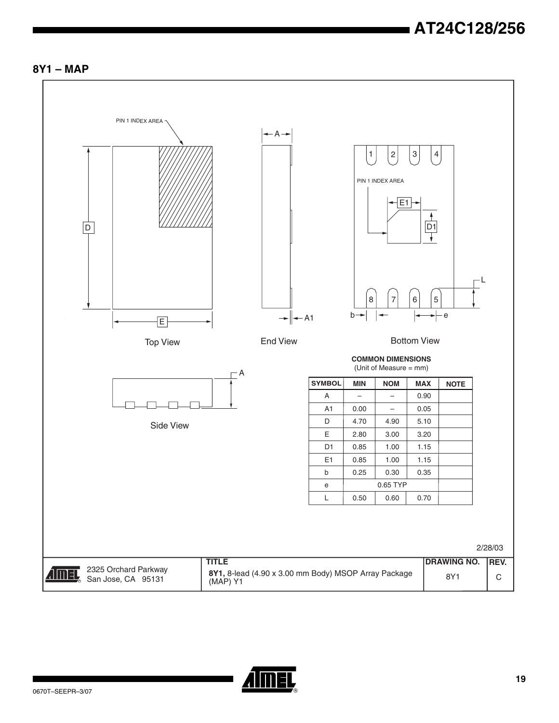



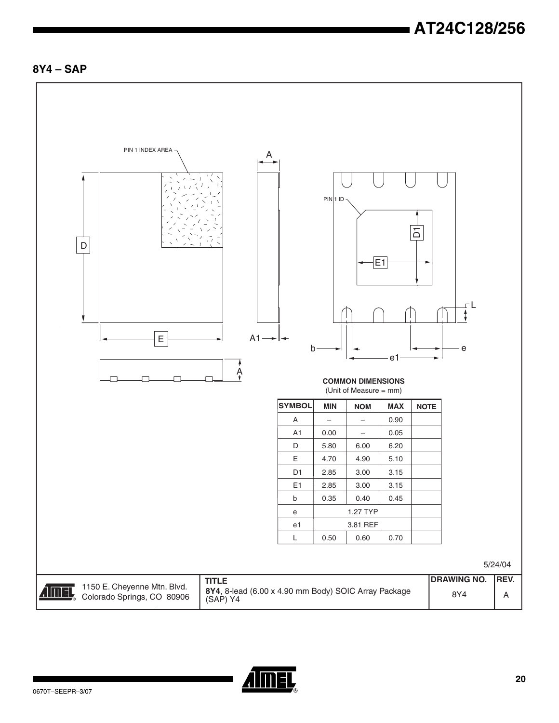## **AT24C128/256**

### **8Y4 – SAP**



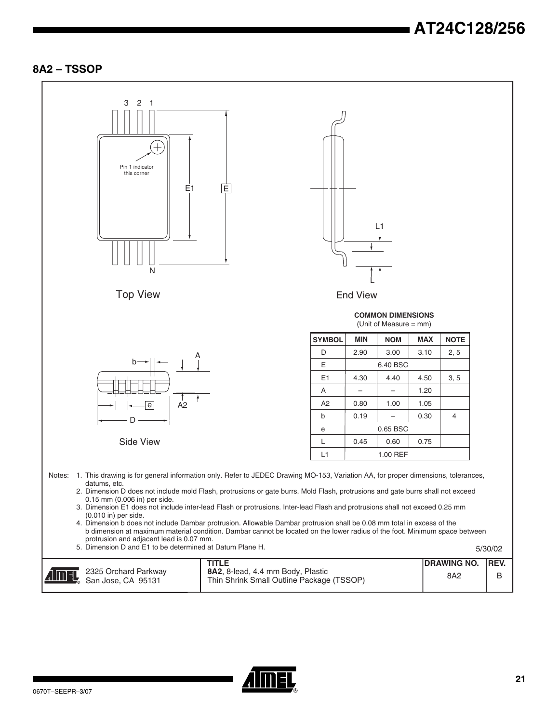### **8A2 – TSSOP**



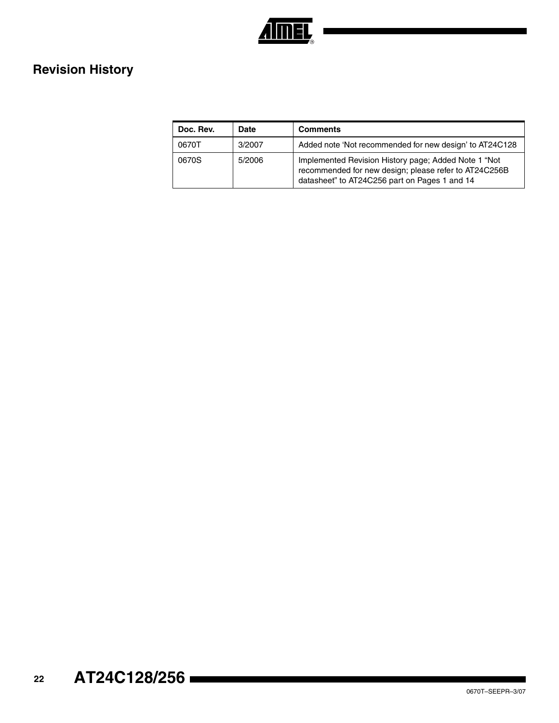

## **Revision History**

| Doc. Rev. | <b>Date</b> | <b>Comments</b>                                                                                                                                                |
|-----------|-------------|----------------------------------------------------------------------------------------------------------------------------------------------------------------|
| 0670T     | 3/2007      | Added note 'Not recommended for new design' to AT24C128                                                                                                        |
| 0670S     | 5/2006      | Implemented Revision History page; Added Note 1 "Not<br>recommended for new design; please refer to AT24C256B<br>datasheet" to AT24C256 part on Pages 1 and 14 |